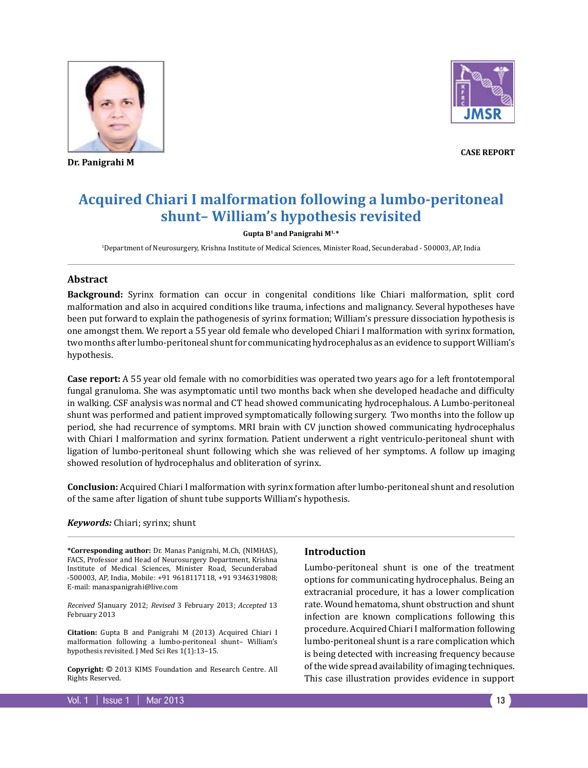

**Dr. Panigrahi M**



**Case Report**

# **Acquired Chiari I malformation following a lumbo-peritoneal shunt– William's hypothesis revisited**

#### **Gupta B1 and Panigrahi M1, \***

1 Department of Neurosurgery, Krishna Institute of Medical Sciences, Minister Road, Secunderabad - 500003, AP, India

### **Abstract**

**Background:** Syrinx formation can occur in congenital conditions like Chiari malformation, split cord malformation and also in acquired conditions like trauma, infections and malignancy. Several hypotheses have been put forward to explain the pathogenesis of syrinx formation; William's pressure dissociation hypothesis is one amongst them. We report a 55 year old female who developed Chiari I malformation with syrinx formation, two months after lumbo-peritoneal shunt for communicating hydrocephalus as an evidence to support William's hypothesis.

**Case report:** A 55 year old female with no comorbidities was operated two years ago for a left frontotemporal fungal granuloma. She was asymptomatic until two months back when she developed headache and difficulty in walking. CSF analysis was normal and CT head showed communicating hydrocephalous. A Lumbo-peritoneal shunt was performed and patient improved symptomatically following surgery. Two months into the follow up period, she had recurrence of symptoms. MRI brain with CV junction showed communicating hydrocephalus with Chiari I malformation and syrinx formation. Patient underwent a right ventriculo-peritoneal shunt with ligation of lumbo-peritoneal shunt following which she was relieved of her symptoms. A follow up imaging showed resolution of hydrocephalus and obliteration of syrinx.

**Conclusion:** Acquired Chiari I malformation with syrinx formation after lumbo-peritoneal shunt and resolution of the same after ligation of shunt tube supports William's hypothesis.

#### *Keywords:* Chiari; syrinx; shunt

**\*Corresponding author:** Dr. Manas Panigrahi, M.Ch, (NIMHAS), FACS, Professor and Head of Neurosurgery Department, Krishna Institute of Medical Sciences, Minister Road, Secunderabad -500003, AP, India, Mobile: +91 9618117118, +91 9346319808; E-mail: manaspanigrahi@live.com

*Received* 5January 2012; *Revised* 3 February 2013; *Accepted* 13 February 2013

**Citation:** Gupta B and Panigrahi M (2013) Acquired Chiari I malformation following a lumbo-peritoneal shunt– William's hypothesis revisited. J Med Sci Res 1(1):13–15.

**Copyright:** © 2013 KIMS Foundation and Research Centre. All Rights Reserved.

## **Introduction**

Lumbo-peritoneal shunt is one of the treatment options for communicating hydrocephalus. Being an extracranial procedure, it has a lower complication rate. Wound hematoma, shunt obstruction and shunt infection are known complications following this procedure. Acquired Chiari I malformation following lumbo-peritoneal shunt is a rare complication which is being detected with increasing frequency because of the wide spread availability of imaging techniques. This case illustration provides evidence in support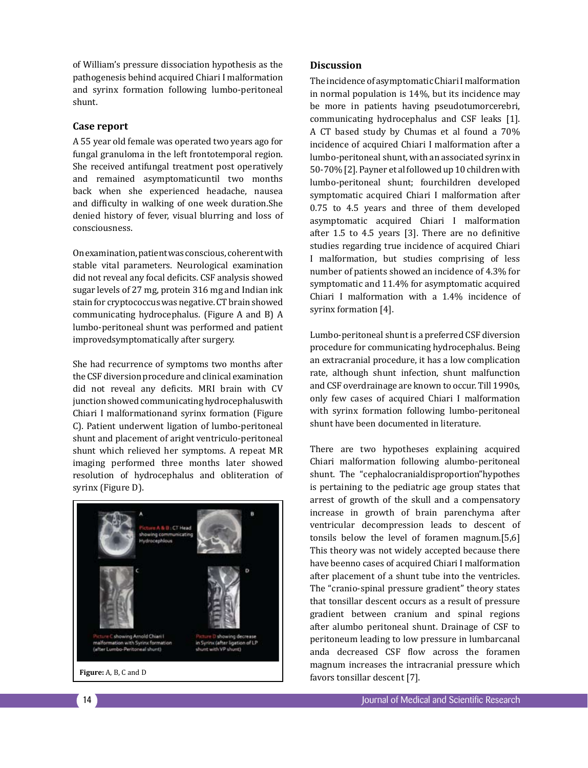of William's pressure dissociation hypothesis as the pathogenesis behind acquired Chiari I malformation and syrinx formation following lumbo-peritoneal shunt.

# **Case report**

A 55 year old female was operated two years ago for fungal granuloma in the left frontotemporal region. She received antifungal treatment post operatively and remained asymptomaticuntil two months back when she experienced headache, nausea and difficulty in walking of one week duration.She denied history of fever, visual blurring and loss of consciousness.

On examination, patient was conscious, coherent with stable vital parameters. Neurological examination did not reveal any focal deficits. CSF analysis showed sugar levels of 27 mg, protein 316 mg and Indian ink stain for cryptococcus was negative. CT brain showed communicating hydrocephalus. (Figure A and B) A lumbo-peritoneal shunt was performed and patient improvedsymptomatically after surgery.

She had recurrence of symptoms two months after the CSF diversion procedure and clinical examination did not reveal any deficits. MRI brain with CV junction showed communicating hydrocephaluswith Chiari I malformationand syrinx formation (Figure C). Patient underwent ligation of lumbo-peritoneal shunt and placement of aright ventriculo-peritoneal shunt which relieved her symptoms. A repeat MR imaging performed three months later showed resolution of hydrocephalus and obliteration of syrinx (Figure D).



# **Discussion**

The incidence of asymptomatic Chiari I malformation in normal population is 14%, but its incidence may be more in patients having pseudotumorcerebri, communicating hydrocephalus and CSF leaks [1]. A CT based study by Chumas et al found a 70% incidence of acquired Chiari I malformation after a lumbo-peritoneal shunt, with an associated syrinx in 50-70% [2]. Payner et al followed up 10 children with lumbo-peritoneal shunt; fourchildren developed symptomatic acquired Chiari I malformation after 0.75 to 4.5 years and three of them developed asymptomatic acquired Chiari I malformation after 1.5 to 4.5 years [3]. There are no definitive studies regarding true incidence of acquired Chiari I malformation, but studies comprising of less number of patients showed an incidence of 4.3% for symptomatic and 11.4% for asymptomatic acquired Chiari I malformation with a 1.4% incidence of syrinx formation [4].

Lumbo-peritoneal shunt is a preferred CSF diversion procedure for communicating hydrocephalus. Being an extracranial procedure, it has a low complication rate, although shunt infection, shunt malfunction and CSF overdrainage are known to occur. Till 1990s, only few cases of acquired Chiari I malformation with syrinx formation following lumbo-peritoneal shunt have been documented in literature.

There are two hypotheses explaining acquired Chiari malformation following alumbo-peritoneal shunt. The "cephalocranialdisproportion"hypothes is pertaining to the pediatric age group states that arrest of growth of the skull and a compensatory increase in growth of brain parenchyma after ventricular decompression leads to descent of tonsils below the level of foramen magnum.[5,6] This theory was not widely accepted because there have beenno cases of acquired Chiari I malformation after placement of a shunt tube into the ventricles. The "cranio-spinal pressure gradient" theory states that tonsillar descent occurs as a result of pressure gradient between cranium and spinal regions after alumbo peritoneal shunt. Drainage of CSF to peritoneum leading to low pressure in lumbarcanal anda decreased CSF flow across the foramen magnum increases the intracranial pressure which